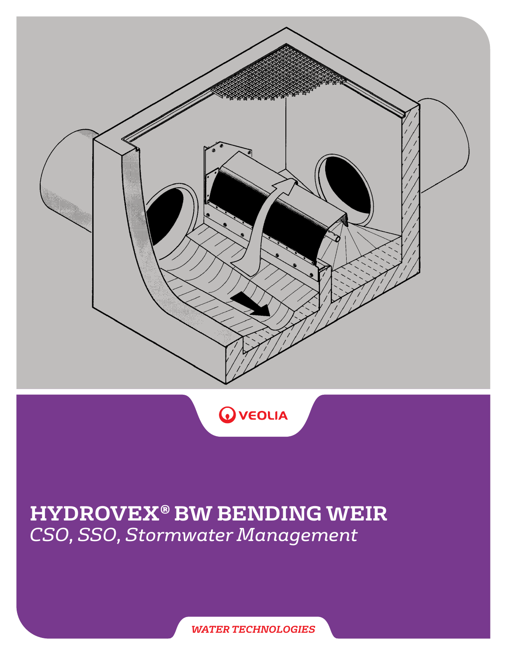



# **HYDROVEX® BW BENDING WEIR** *CSO, SSO, Stormwater Management*

*WATER TECHNOLOGIES*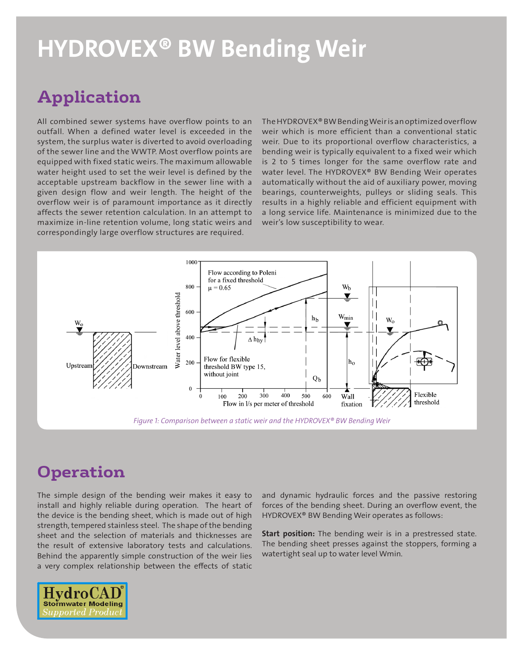# HYDROVEX® BW Bending Weir

## **Application**

All combined sewer systems have overflow points to an outfall. When a defined water level is exceeded in the system, the surplus water is diverted to avoid overloading of the sewer line and the WWTP. Most overflow points are equipped with fixed static weirs. The maximum allowable water height used to set the weir level is defined by the acceptable upstream backflow in the sewer line with a given design flow and weir length. The height of the overflow weir is of paramount importance as it directly affects the sewer retention calculation. In an attempt to maximize in-line retention volume, long static weirs and correspondingly large overflow structures are required.

The HYDROVEX® BW Bending Weir is an optimized overflow weir which is more efficient than a conventional static weir. Due to its proportional overflow characteristics, a bending weir is typically equivalent to a fixed weir which is 2 to 5 times longer for the same overflow rate and water level. The HYDROVEX® BW Bending Weir operates automatically without the aid of auxiliary power, moving bearings, counterweights, pulleys or sliding seals. This results in a highly reliable and efficient equipment with a long service life. Maintenance is minimized due to the weir's low susceptibility to wear.



### **Operation**

The simple design of the bending weir makes it easy to install and highly reliable during operation. The heart of the device is the bending sheet, which is made out of high strength, tempered stainless steel. The shape of the bending sheet and the selection of materials and thicknesses are the result of extensive laboratory tests and calculations. Behind the apparently simple construction of the weir lies a very complex relationship between the effects of static

and dynamic hydraulic forces and the passive restoring forces of the bending sheet. During an overflow event, the HYDROVEX® BW Bending Weir operates as follows:

Start position: The bending weir is in a prestressed state. The bending sheet presses against the stoppers, forming a watertight seal up to water level Wmin.

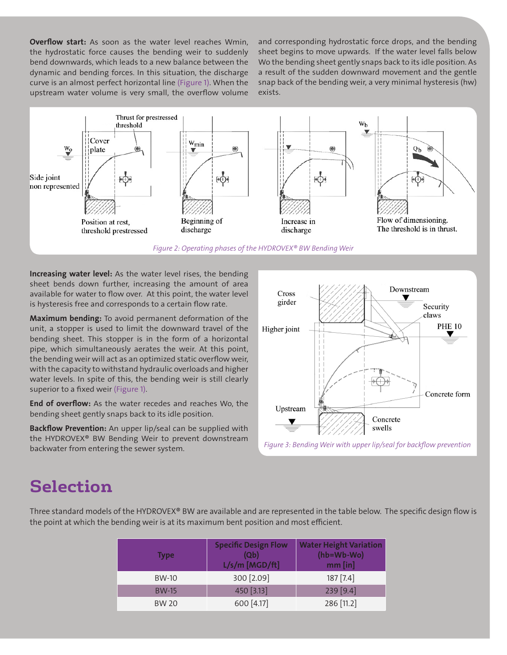**Overflow start:** As soon as the water level reaches Wmin, the hydrostatic force causes the bending weir to suddenly bend downwards, which leads to a new balance between the dynamic and bending forces. In this situation, the discharge curve is an almost perfect horizontal line (Figure 1). When the upstream water volume is very small, the overflow volume

and corresponding hydrostatic force drops, and the bending sheet begins to move upwards. If the water level falls below Wo the bending sheet gently snaps back to its idle position. As a result of the sudden downward movement and the gentle snap back of the bending weir, a very minimal hysteresis (hw) exists.



*Figure 2: Operating phases of the HYDROVEX® BW Bending Weir*

Increasing water level: As the water level rises, the bending sheet bends down further, increasing the amount of area available for water to flow over. At this point, the water level is hysteresis free and corresponds to a certain flow rate.

Maximum bending: To avoid permanent deformation of the unit, a stopper is used to limit the downward travel of the bending sheet. This stopper is in the form of a horizontal pipe, which simultaneously aerates the weir. At this point, the bending weir will act as an optimized static overflow weir, with the capacity to withstand hydraulic overloads and higher water levels. In spite of this, the bending weir is still clearly superior to a fixed weir (Figure 1).

End of overflow: As the water recedes and reaches Wo, the bending sheet gently snaps back to its idle position.

Backflow Prevention: An upper lip/seal can be supplied with the HYDROVEX® BW Bending Weir to prevent downstream backwater from entering the sewer system.





### **Selection**

Three standard models of the HYDROVEX® BW are available and are represented in the table below. The specific design flow is the point at which the bending weir is at its maximum bent position and most efficient.

| <b>Type</b>  | <b>Specific Design Flow</b><br>(Qb)<br>L/s/m [MGD/ft] | <b>Water Height Variation</b><br>(hb=Wb-Wo)<br>$mm$ [in] |
|--------------|-------------------------------------------------------|----------------------------------------------------------|
| <b>BW-10</b> | 300 [2.09]                                            | 187 [7.4]                                                |
| <b>BW-15</b> | 450 [3.13]                                            | 239 [9.4]                                                |
| <b>BW 20</b> | 600 [4.17]                                            | 286 [11.2]                                               |